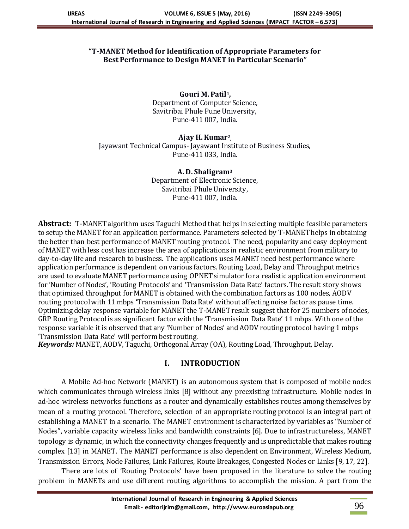#### **"T-MANET Method for Identification of Appropriate Parameters for Best Performance to Design MANET in Particular Scenario"**

**Gouri M. Patil1,** Department of Computer Science, Savitribai Phule Pune University, Pune-411 007, India.

**Ajay H. Kumar<sup>2</sup> ,** Jayawant Technical Campus- Jayawant Institute of Business Studies, Pune-411 033, India.

> **A. D. Shaligram<sup>3</sup>** Department of Electronic Science, Savitribai Phule University, Pune-411 007, India.

**Abstract:** T-MANET algorithm uses Taguchi Method that helps in selecting multiple feasible parameters to setup the MANET for an application performance. Parameters selected by T-MANET helps in obtaining the better than best performance of MANET routing protocol. The need, popularity and easy deployment of MANET with less cost has increase the area of applications in realistic environment from military to day-to-day life and research to business. The applications uses MANET need best performance where application performance is dependent on various factors. Routing Load, Delay and Throughput metrics are used to evaluate MANET performance using OPNET simulator for a realistic application environment for 'Number of Nodes', 'Routing Protocols' and 'Transmission Data Rate' factors.The result story shows that optimized throughput for MANET is obtained with the combination factors as 100 nodes, AODV routing protocol with 11 mbps 'Transmission Data Rate' without affectingnoise factor as pause time. Optimizing delay response variable for MANET the T-MANET result suggest that for 25 numbers of nodes, GRP Routing Protocol is as significant factor with the 'Transmission Data Rate' 11 mbps. With one of the response variable it is observed that any 'Number of Nodes' and AODV routing protocol having 1 mbps 'Transmission Data Rate' will perform best routing.

*Keywords:* MANET, AODV, Taguchi, Orthogonal Array (OA), Routing Load, Throughput, Delay.

## **I. INTRODUCTION**

A Mobile Ad-hoc Network (MANET) is an autonomous system that is composed of mobile nodes which communicates through wireless links [8] without any preexisting infrastructure. Mobile nodes in ad-hoc wireless networks functions as a router and dynamically establishes routes among themselves by mean of a routing protocol. Therefore, selection of an appropriate routing protocol is an integral part of establishing a MANET in a scenario. The MANET environment is characterized by variables as ''Number of Nodes'', variable capacity wireless links and bandwidth constraints [6]. Due to infrastructureless, MANET topology is dynamic, in which the connectivity changes frequently and is unpredictable that makes routing complex [13] in MANET. The MANET performance is also dependent on Environment, Wireless Medium, Transmission Errors, Node Failures, Link Failures, Route Breakages, Congested Nodes or Links [9, 17, 22].

There are lots of 'Routing Protocols' have been proposed in the literature to solve the routing problem in MANETs and use different routing algorithms to accomplish the mission. A part from the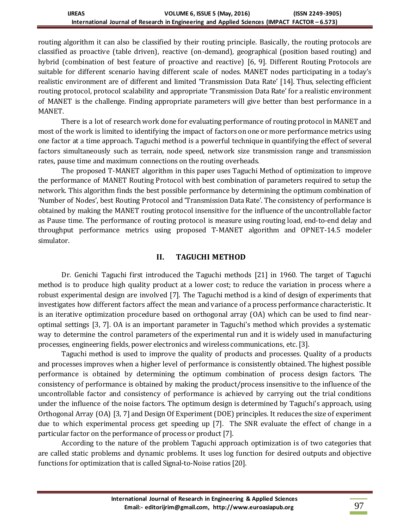routing algorithm it can also be classified by their routing principle. Basically, the routing protocols are classified as proactive (table driven), reactive (on-demand), geographical (position based routing) and hybrid (combination of best feature of proactive and reactive) [6, 9]. Different Routing Protocols are suitable for different scenario having different scale of nodes. MANET nodes participating in a today's realistic environment are of different and limited 'Transmission Data Rate' [14]. Thus, selecting efficient routing protocol, protocol scalability and appropriate 'Transmission Data Rate' for a realistic environment of MANET is the challenge. Finding appropriate parameters will give better than best performance in a MANET.

There is a lot of research work done for evaluating performance of routing protocol in MANET and most of the work is limited to identifying the impact of factors on one or more performance metrics using one factor at a time approach. Taguchi method is a powerful technique in quantifying the effect of several factors simultaneously such as terrain, node speed, network size transmission range and transmission rates, pause time and maximum connections on the routing overheads.

The proposed T-MANET algorithm in this paper uses Taguchi Method of optimization to improve the performance of MANET Routing Protocol with best combination of parameters required to setup the network. This algorithm finds the best possible performance by determining the optimum combination of 'Number of Nodes', best Routing Protocol and 'Transmission Data Rate'. The consistency of performance is obtained by making the MANET routing protocol insensitive for the influence of the uncontrollable factor as Pause time. The performance of routing protocol is measure using routing load, end-to-end delay and throughput performance metrics using proposed T-MANET algorithm and OPNET-14.5 modeler simulator.

## **II. TAGUCHI METHOD**

Dr. Genichi Taguchi first introduced the Taguchi methods [21] in 1960. The target of Taguchi method is to produce high quality product at a lower cost; to reduce the variation in process where a robust experimental design are involved [7]. The Taguchi method is a kind of design of experiments that investigates how different factors affect the mean and variance of a process performance characteristic. It is an iterative optimization procedure based on orthogonal array (OA) which can be used to find nearoptimal settings [3, 7]. OA is an important parameter in Taguchi's method which provides a systematic way to determine the control parameters of the experimental run and it is widely used in manufacturing processes, engineering fields, power electronics and wireless communications, etc. [3].

Taguchi method is used to improve the quality of products and processes. Quality of a products and processes improves when a higher level of performance is consistently obtained. The highest possible performance is obtained by determining the optimum combination of process design factors. The consistency of performance is obtained by making the product/process insensitive to the influence of the uncontrollable factor and consistency of performance is achieved by carrying out the trial conditions under the influence of the noise factors. The optimum design is determined by Taguchi's approach, using Orthogonal Array (OA) [3, 7] and Design Of Experiment (DOE) principles. It reduces the size of experiment due to which experimental process get speeding up [7]. The SNR evaluate the effect of change in a particular factor on the performance of process or product [7].

According to the nature of the problem Taguchi approach optimization is of two categories that are called static problems and dynamic problems. It uses log function for desired outputs and objective functions for optimization that is called Signal-to-Noise ratios [20].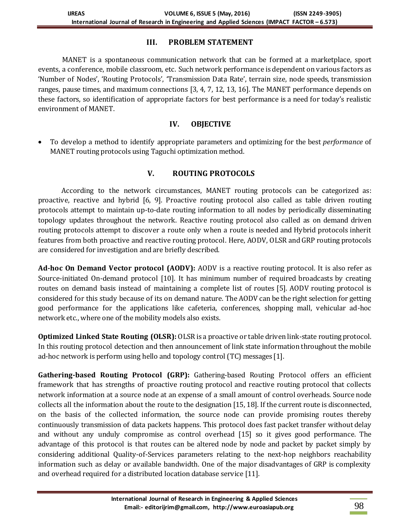## **III. PROBLEM STATEMENT**

MANET is a spontaneous communication network that can be formed at a marketplace, sport events, a conference, mobile classroom, etc. Such network performance is dependent on various factors as 'Number of Nodes', 'Routing Protocols', 'Transmission Data Rate', terrain size, node speeds, transmission ranges, pause times, and maximum connections [3, 4, 7, 12, 13, 16]. The MANET performance depends on these factors, so identification of appropriate factors for best performance is a need for today's realistic environment of MANET.

# **IV. OBJECTIVE**

 To develop a method to identify appropriate parameters and optimizing for the best *performance* of MANET routing protocols using Taguchi optimization method.

# **V. ROUTING PROTOCOLS**

According to the network circumstances, MANET routing protocols can be categorized as: proactive, reactive and hybrid [6, 9]. Proactive routing protocol also called as table driven routing protocols attempt to maintain up-to-date routing information to all nodes by periodically disseminating topology updates throughout the network. Reactive routing protocol also called as on demand driven routing protocols attempt to discover a route only when a route is needed and Hybrid protocols inherit features from both proactive and reactive routing protocol. Here, AODV, OLSR and GRP routing protocols are considered for investigation and are briefly described.

Ad-hoc On Demand Vector protocol (AODV): AODV is a reactive routing protocol. It is also refer as Source-initiated On-demand protocol [10]. It has minimum number of required broadcasts by creating routes on demand basis instead of maintaining a complete list of routes [5]. AODV routing protocol is considered for this study because of its on demand nature. The AODV can be the right selection for getting good performance for the applications like cafeteria, conferences, shopping mall, vehicular ad-hoc network etc., where one of the mobility models also exists.

**Optimized Linked State Routing (OLSR):** OLSR is a proactive or table driven link-state routing protocol. In this routing protocol detection and then announcement of link state information throughout the mobile ad-hoc network is perform using hello and topology control (TC) messages [1].

**Gathering-based Routing Protocol (GRP):** Gathering-based Routing Protocol offers an efficient framework that has strengths of proactive routing protocol and reactive routing protocol that collects network information at a source node at an expense of a small amount of control overheads. Source node collects all the information about the route to the designation [15, 18]. If the current route is disconnected, on the basis of the collected information, the source node can provide promising routes thereby continuously transmission of data packets happens. This protocol does fast packet transfer without delay and without any unduly compromise as control overhead [15] so it gives good performance. The advantage of this protocol is that routes can be altered node by node and packet by packet simply by considering additional Quality-of-Services parameters relating to the next-hop neighbors reachability information such as delay or available bandwidth. One of the major disadvantages of GRP is complexity and overhead required for a distributed location database service [11].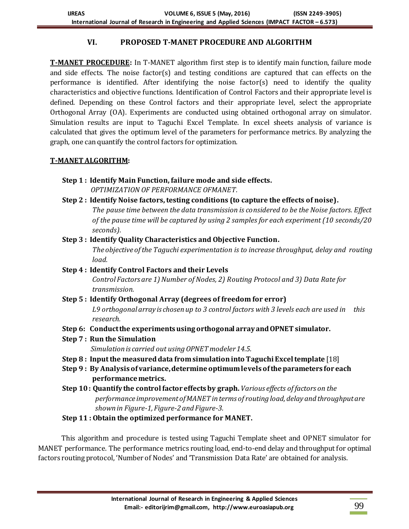# **VI. PROPOSED T-MANET PROCEDURE AND ALGORITHM**

**T-MANET PROCEDURE:** In T-MANET algorithm first step is to identify main function, failure mode and side effects. The noise factor(s) and testing conditions are captured that can effects on the performance is identified. After identifying the noise factor(s) need to identify the quality characteristics and objective functions. Identification of Control Factors and their appropriate level is defined. Depending on these Control factors and their appropriate level, select the appropriate Orthogonal Array (OA). Experiments are conducted using obtained orthogonal array on simulator. Simulation results are input to Taguchi Excel Template. In excel sheets analysis of variance is calculated that gives the optimum level of the parameters for performance metrics. By analyzing the graph, one can quantify the control factors for optimization.

## **T-MANET ALGORITHM:**

- **Step 1 : Identify Main Function, failure mode and side effects.** *OPTIMIZATION OF PERFORMANCE OFMANET.*
- **Step 2 : Identify Noise factors, testing conditions (to capture the effects of noise).** *The pause time between the data transmission is considered to be the Noise factors. Effect of the pause time will be captured by using 2 samples for each experiment (10 seconds/20 seconds).*

# **Step 3 : Identify Quality Characteristics and Objective Function.** *The objective of the Taguchi experimentation is to increase throughput, delay and routing load.*

**Step 4 : Identify Control Factors and their Levels** *Control Factors are 1) Number of Nodes, 2) Routing Protocol and 3) Data Rate for transmission.*

# **Step 5 : Identify Orthogonal Array (degrees of freedom for error)** *L9 orthogonal array is chosen up to 3 control factors with 3 levels each are used in this research.*

- **Step 6: Conduct the experiments using orthogonal array and OPNET simulator.**
- **Step 7 : Run the Simulation**

*Simulation is carried out using OPNET modeler 14.5.*

- **Step 8 : Input the measured data from simulation into Taguchi Excel template** [18]
- **Step 9 : By Analysis of variance, determine optimum levels of the parameters for each performance metrics.**
- **Step 10 : Quantify the control factor effects by graph.** *Various effects of factors on the performance improvement of MANET in terms of routing load, delay and throughput are shown in Figure-1, Figure-2 and Figure-3.*
- **Step 11 : Obtain the optimized performance for MANET.**

This algorithm and procedure is tested using Taguchi Template sheet and OPNET simulator for MANET performance. The performance metrics routing load, end-to-end delay and throughput for optimal factors routing protocol, 'Number of Nodes' and 'Transmission Data Rate' are obtained for analysis.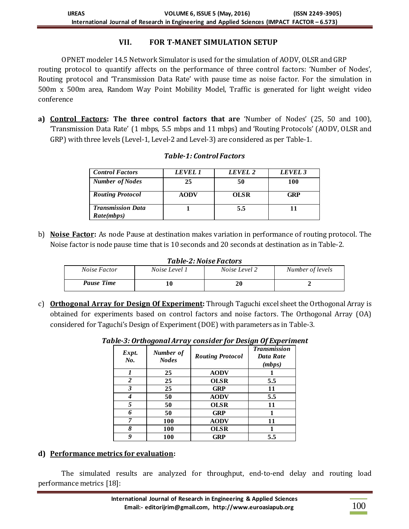### **VII. FOR T-MANET SIMULATION SETUP**

OPNET modeler 14.5 Network Simulator is used for the simulation of AODV, OLSR and GRP routing protocol to quantify affects on the performance of three control factors: 'Number of Nodes', Routing protocol and 'Transmission Data Rate' with pause time as noise factor. For the simulation in 500m x 500m area, Random Way Point Mobility Model, Traffic is generated for light weight video conference

**a) Control Factors: The three control factors that are** 'Number of Nodes' (25, 50 and 100), 'Transmission Data Rate' (1 mbps, 5.5 mbps and 11 mbps) and 'Routing Protocols' (AODV, OLSR and GRP) with three levels (Level-1, Level-2 and Level-3) are considered as per Table-1.

| <b>Control Factors</b>                 | LEVEL 1     | LEVEL 2     | LEVEL 3    |
|----------------------------------------|-------------|-------------|------------|
| <b>Number of Nodes</b>                 | 25          | 50          | 100        |
| <b>Routing Protocol</b>                | <b>AODV</b> | <b>OLSR</b> | <b>GRP</b> |
| <b>Transmission Data</b><br>Rate(mbps) |             | 5.5         |            |

#### *Table-1: Control Factors*

b) **Noise Factor:** As node Pause at destination makes variation in performance of routing protocol. The Noise factor is node pause time that is 10 seconds and 20 seconds at destination as in Table-2.

*Table-2: Noise Factors* 

| Noise Factor      | Noise Level 1 | Noise Level 2 | Number of levels |  |
|-------------------|---------------|---------------|------------------|--|
| <b>Pause Time</b> |               | 20            |                  |  |

c) **Orthogonal Array for Design Of Experiment:** Through Taguchi excel sheet the Orthogonal Array is obtained for experiments based on control factors and noise factors. The Orthogonal Array (OA) considered for Taguchi's Design of Experiment (DOE) with parameters as in Table-3.

| Expt.<br>No.   | Number of<br><b>Nodes</b> | <b>Routing Protocol</b> | <b>Transmission</b><br>Data Rate<br>(mbps) |
|----------------|---------------------------|-------------------------|--------------------------------------------|
|                | 25                        | <b>AODV</b>             |                                            |
| $\overline{2}$ | 25                        | <b>OLSR</b>             | 5.5                                        |
| 3              | 25                        | <b>GRP</b>              | 11                                         |
| 4              | 50                        | <b>AODV</b>             | 5.5                                        |
| 5              | 50                        | <b>OLSR</b>             | 11                                         |
|                | 50                        | <b>GRP</b>              |                                            |
| 7              | 100                       | <b>AODV</b>             | 11                                         |
| 8              | 100                       | <b>OLSR</b>             |                                            |
| 9              | 100                       | <b>GRP</b>              | 5.5                                        |

*Table-3: Orthogonal Array consider for Design Of Experiment*

#### **d) Performance metrics for evaluation:**

The simulated results are analyzed for throughput, end-to-end delay and routing load performance metrics [18]: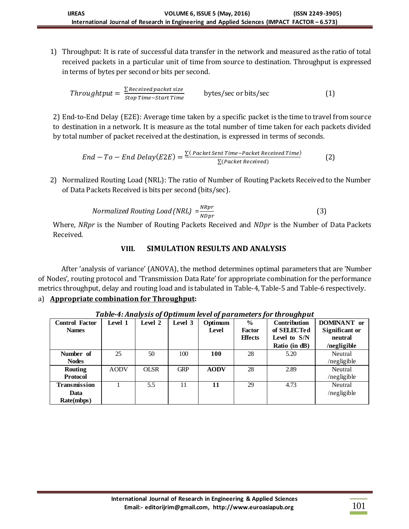1) Throughput: It is rate of successful data transfer in the network and measured as the ratio of total received packets in a particular unit of time from source to destination. Throughput is expressed in terms of bytes per second or bits per second.

$$
Throughtput = \frac{\sum Receivedpacket size}{Stop Time-start Time} \qquad bytes/sec \text{ or bits/sec} \qquad (1)
$$

2) End-to-End Delay (E2E): Average time taken by a specific packet is the time to travel from source to destination in a network. It is measure as the total number of time taken for each packets divided by total number of packet received at the destination, is expressed in terms of seconds.

$$
End - To - End Delay(E2E) = \frac{\sum (Packet SentTime - packet received Time)}{\sum (Packet received)}
$$
 (2)

2) Normalized Routing Load (NRL): The ratio of Number of Routing Packets Received to the Number of Data Packets Received is bits per second (bits/sec).

$$
Normalized \ Routing \ Load(NRL) = \frac{NRpr}{NDpr}
$$
 (3)

Where, *NRpr* is the Number of Routing Packets Received and *NDpr* is the Number of Data Packets Received.

# **VIII. SIMULATION RESULTS AND ANALYSIS**

After 'analysis of variance' (ANOVA), the method determines optimal parameters that are 'Number of Nodes', routing protocol and 'Transmission Data Rate' for appropriate combination for the performance metrics throughput, delay and routing load and is tabulated in Table-4, Table-5 and Table-6 respectively.

## a) **Appropriate combination for Throughput:**

| таріс-т. Анатузіз ороранняні істегордаганість рог ан оадпрас |             |             |            |             |                |                     |                    |
|--------------------------------------------------------------|-------------|-------------|------------|-------------|----------------|---------------------|--------------------|
| <b>Control Factor</b>                                        | Level 1     | Level 2     | Level 3    | Optimum     | $\frac{6}{9}$  | <b>Contribution</b> | <b>DOMINANT</b> or |
| <b>Names</b>                                                 |             |             |            | Level       | Factor         | of SELECTed         | Significant or     |
|                                                              |             |             |            |             | <b>Effects</b> | Level to S/N        | neutral            |
|                                                              |             |             |            |             |                | Ratio (in dB)       | /negligible        |
| Number of                                                    | 25          | 50          | 100        | <b>100</b>  | 28             | 5.20                | Neutral            |
| <b>Nodes</b>                                                 |             |             |            |             |                |                     | /negligible        |
| <b>Routing</b>                                               | <b>AODV</b> | <b>OLSR</b> | <b>GRP</b> | <b>AODV</b> | 28             | 2.89                | Neutral            |
| <b>Protocol</b>                                              |             |             |            |             |                |                     | /negligible        |
| Transmission                                                 |             | 5.5         | 11         | 11          | 29             | 4.73                | Neutral            |
| Data                                                         |             |             |            |             |                |                     | /negligible        |
| Rate(mbps)                                                   |             |             |            |             |                |                     |                    |

*Table-4: Analysis of Optimum level of parameters for throughput*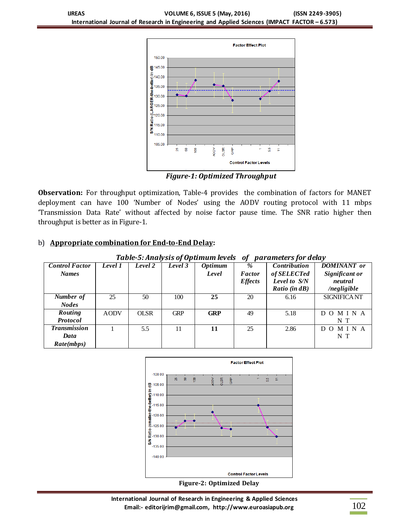

*Figure-1: Optimized Throughput*

**Observation:** For throughput optimization, Table-4 provides the combination of factors for MANET deployment can have 100 'Number of Nodes' using the AODV routing protocol with 11 mbps 'Transmission Data Rate' without affected by noise factor pause time. The SNR ratio higher then throughput is better as in Figure-1.

## b) **Appropriate combination for End-to-End Delay:**

| TUDIE-5: ANUIVSIS OF OPUMUM IEVEIS<br>UI.<br>parameters for delay |             |             |            |                      |                |                         |                     |  |
|-------------------------------------------------------------------|-------------|-------------|------------|----------------------|----------------|-------------------------|---------------------|--|
| <b>Control Factor</b>                                             | Level 1     | Level 2     | Level 3    | $\overline{Optimum}$ | %              | <b>Contribution</b>     | <b>DOMINANT</b> or  |  |
| <b>Names</b>                                                      |             |             |            | Level                | <b>Factor</b>  | of SELECTed             | Significant or      |  |
|                                                                   |             |             |            |                      | <i>Effects</i> | Level to S/N            | neutral             |  |
|                                                                   |             |             |            |                      |                | <i>Ratio</i> (in $dB$ ) | /negligible         |  |
| <b>Number</b> of                                                  | 25          | 50          | 100        | 25                   | 20             | 6.16                    | <b>SIGNIFICA NT</b> |  |
| <b>Nodes</b>                                                      |             |             |            |                      |                |                         |                     |  |
| <b>Routing</b>                                                    | <b>AODV</b> | <b>OLSR</b> | <b>GRP</b> | <b>GRP</b>           | 49             | 5.18                    | DOMINA              |  |
| <b>Protocol</b>                                                   |             |             |            |                      |                |                         | N T                 |  |
| <b>Transmission</b>                                               |             | 5.5         | 11         | 11                   | 25             | 2.86                    | MINA<br>DO.         |  |
| Data                                                              |             |             |            |                      |                |                         | N T                 |  |
| Rate(mbps)                                                        |             |             |            |                      |                |                         |                     |  |

*Table-5: Analysis of Optimum levels of parameters for delay*



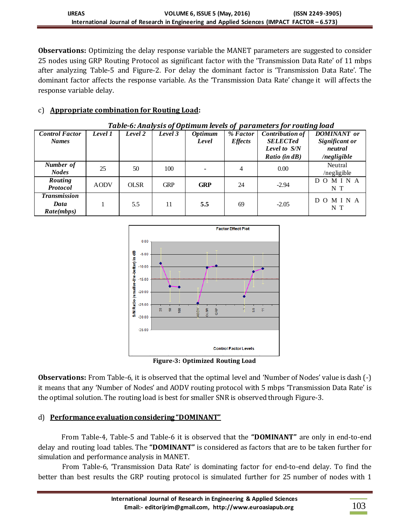**Observations:** Optimizing the delay response variable the MANET parameters are suggested to consider 25 nodes using GRP Routing Protocol as significant factor with the 'Transmission Data Rate' of 11 mbps after analyzing Table-5 and Figure-2. For delay the dominant factor is 'Transmission Data Rate'. The dominant factor affects the response variable. As the 'Transmission Data Rate' change it will affects the response variable delay.

# c) **Appropriate combination for Routing Load:**

| <b>Control Factor</b><br><b>Names</b>     | Level 1     | Level 2     | Level 3    | <b>Optimum</b><br>Level | % Factor<br><b>Effects</b> | <b>Contribution of</b><br><b>SELECTed</b><br>Level to S/N<br>Ratio (in dB) | <b>DOMINANT</b> or<br>Significant or<br>neutral<br>/negligible |
|-------------------------------------------|-------------|-------------|------------|-------------------------|----------------------------|----------------------------------------------------------------------------|----------------------------------------------------------------|
| Number of<br><b>Nodes</b>                 | 25          | 50          | 100        |                         | 4                          | 0.00                                                                       | Neutral<br>/negligible                                         |
| Routing<br><b>Protocol</b>                | <b>AODV</b> | <b>OLSR</b> | <b>GRP</b> | <b>GRP</b>              | 24                         | $-2.94$                                                                    | DOMINA<br>N T                                                  |
| <b>Transmission</b><br>Data<br>Rate(mbps) |             | 5.5         | 11         | 5.5                     | 69                         | $-2.05$                                                                    | DOMINA<br>N T                                                  |





**Figure-3: Optimized Routing Load**

**Observations:** From Table-6, it is observed that the optimal level and 'Number of Nodes' value is dash (-) it means that any 'Number of Nodes' and AODV routing protocol with 5 mbps 'Transmission Data Rate' is the optimal solution. The routing load is best for smaller SNR is observed through Figure-3.

## d) **Performance evaluation considering "DOMINANT"**

From Table-4, Table-5 and Table-6 it is observed that the **"DOMINANT"** are only in end-to-end delay and routing load tables. The **"DOMINANT"** is considered as factors that are to be taken further for simulation and performance analysis in MANET.

From Table-6, 'Transmission Data Rate' is dominating factor for end-to-end delay. To find the better than best results the GRP routing protocol is simulated further for 25 number of nodes with 1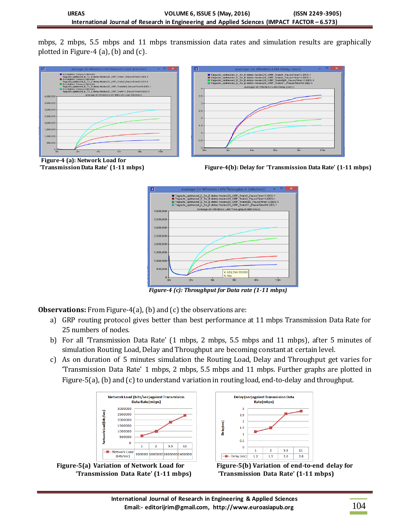mbps, 2 mbps, 5.5 mbps and 11 mbps transmission data rates and simulation results are graphically plotted in Figure-4 (a), (b) and  $(c)$ .





**Figure-4 (a): Network Load for**





 *Figure-4 (c): Throughput for Data rate (1-11 mbps)*

**Observations:** From Figure-4(a), (b) and (c) the observations are:

- a) GRP routing protocol gives better than best performance at 11 mbps Transmission Data Rate for 25 numbers of nodes.
- b) For all 'Transmission Data Rate' (1 mbps, 2 mbps, 5.5 mbps and 11 mbps), after 5 minutes of simulation Routing Load, Delay and Throughput are becoming constant at certain level.
- c) As on duration of 5 minutes simulation the Routing Load, Delay and Throughput get varies for 'Transmission Data Rate' 1 mbps, 2 mbps, 5.5 mbps and 11 mbps. Further graphs are plotted in Figure-5(a), (b) and (c) to understand variation in routing load, end-to-delay and throughput.







**'Transmission Data Rate' (1-11 mbps) 'Transmission Data Rate' (1-11 mbps)**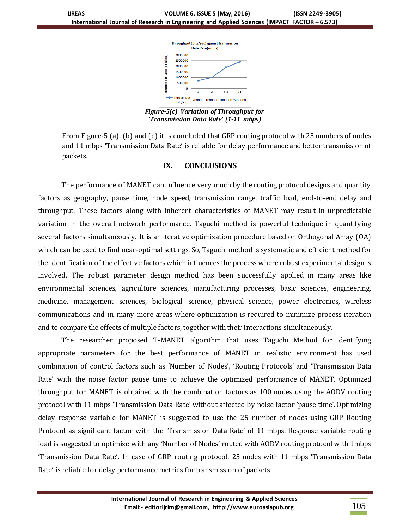

*Figure-5(c) Variation of Throughput for 'Transmission Data Rate' (1-11 mbps)*

From Figure-5 (a), (b) and (c) it is concluded that GRP routing protocol with 25 numbers of nodes and 11 mbps 'Transmission Data Rate' is reliable for delay performance and better transmission of packets.

#### **IX. CONCLUSIONS**

The performance of MANET can influence very much by the routing protocol designs and quantity factors as geography, pause time, node speed, transmission range, traffic load, end-to-end delay and throughput. These factors along with inherent characteristics of MANET may result in unpredictable variation in the overall network performance. Taguchi method is powerful technique in quantifying several factors simultaneously. It is an iterative optimization procedure based on Orthogonal Array (OA) which can be used to find near-optimal settings. So, Taguchi method is systematic and efficient method for the identification of the effective factors which influences the process where robust experimental design is involved. The robust parameter design method has been successfully applied in many areas like environmental sciences, agriculture sciences, manufacturing processes, basic sciences, engineering, medicine, management sciences, biological science, physical science, power electronics, wireless communications and in many more areas where optimization is required to minimize process iteration and to compare the effects of multiple factors, together with their interactions simultaneously.

The researcher proposed T-MANET algorithm that uses Taguchi Method for identifying appropriate parameters for the best performance of MANET in realistic environment has used combination of control factors such as 'Number of Nodes', 'Routing Protocols' and 'Transmission Data Rate' with the noise factor pause time to achieve the optimized performance of MANET. Optimized throughput for MANET is obtained with the combination factors as 100 nodes using the AODV routing protocol with 11 mbps 'Transmission Data Rate' without affected by noise factor 'pause time'. Optimizing delay response variable for MANET is suggested to use the 25 number of nodes using GRP Routing Protocol as significant factor with the 'Transmission Data Rate' of 11 mbps. Response variable routing load is suggested to optimize with any 'Number of Nodes' routed with AODV routing protocol with 1mbps 'Transmission Data Rate'. In case of GRP routing protocol, 25 nodes with 11 mbps 'Transmission Data Rate' is reliable for delay performance metrics for transmission of packets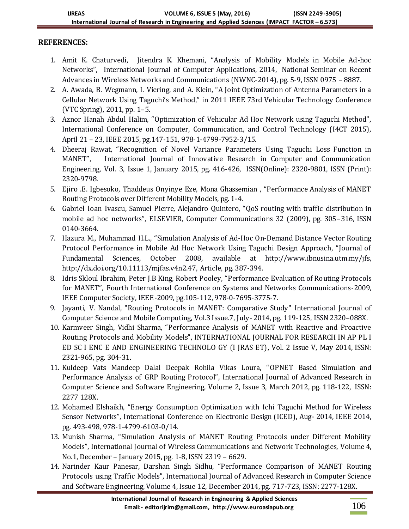# **REFERENCES:**

- 1. Amit K. Chaturvedi, Jitendra K. Khemani, "Analysis of Mobility Models in Mobile Ad-hoc Networks", International Journal of Computer Applications, 2014, National Seminar on Recent Advances in Wireless Networks and Communications (NWNC-2014), pg. 5-9, ISSN 0975 – 8887.
- 2. A. Awada, B. Wegmann, I. Viering, and A. Klein, "A Joint Optimization of Antenna Parameters in a Cellular Network Using Taguchi's Method," in 2011 IEEE 73rd Vehicular Technology Conference (VTC Spring), 2011, pp. 1–5.
- 3. Aznor Hanah Abdul Halim, "Optimization of Vehicular Ad Hoc Network using Taguchi Method", International Conference on Computer, Communication, and Control Technology (I4CT 2015), April 21 – 23, IEEE 2015, pg.147-151, 978-1-4799-7952-3/15.
- 4. Dheeraj Rawat, "Recognition of Novel Variance Parameters Using Taguchi Loss Function in MANET", International Journal of Innovative Research in Computer and Communication Engineering, Vol. 3, Issue 1, January 2015, pg. 416-426, ISSN(Online): 2320-9801, ISSN (Print): 2320-9798.
- 5. Ejiro .E. Igbesoko, Thaddeus Onyinye Eze, Mona Ghassemian , "Performance Analysis of MANET Routing Protocols over Different Mobility Models, pg. 1-4.
- 6. Gabriel Ioan Ivascu, Samuel Pierre, Alejandro Quintero, "QoS routing with traffic distribution in mobile ad hoc networks", ELSEVIER, Computer Communications 32 (2009), pg. 305–316, ISSN 0140-3664.
- 7. Hazura M., Muhammad H.L., "Simulation Analysis of Ad-Hoc On-Demand Distance Vector Routing Protocol Performance in Mobile Ad Hoc Network Using Taguchi Design Approach, "Journal of Fundamental Sciences, October 2008, available at [http://www.ibnusina.utm.my/jfs,](http://www.ibnusina.utm.my/jfs) [http://dx.doi.org/10.11113/mjfas.v4n2.47,](http://dx.doi.org/10.11113/mjfas.v4n2.47) Article, pg. 387-394.
- 8. Idris Skloul Ibrahim, Peter J.B King, Robert Pooley, "Performance Evaluation of Routing Protocols for MANET", Fourth International Conference on Systems and Networks Communications-2009, IEEE Computer Society, IEEE-2009, pg.105-112, 978-0-7695-3775-7.
- 9. Jayanti, V. Nandal, "Routing Protocols in MANET: Comparative Study" International Journal of Computer Science and Mobile Computing, Vol.3 Issue.7, July- 2014, pg. 119-125, ISSN 2320–088X.
- 10. Karmveer Singh, Vidhi Sharma, "Performance Analysis of MANET with Reactive and Proactive Routing Protocols and Mobility Models", INTERNATIONAL JOURNAL FOR RESEARCH IN AP PL I ED SC I ENC E AND ENGINEERING TECHNOLO GY (I JRAS ET), Vol. 2 Issue V, May 2014, ISSN: 2321-965, pg. 304-31.
- 11. Kuldeep Vats Mandeep Dalal Deepak Rohila Vikas Loura, "OPNET Based Simulation and Performance Analysis of GRP Routing Protocol", International Journal of Advanced Research in Computer Science and Software Engineering, Volume 2, Issue 3, March 2012, pg. 118-122, ISSN: 2277 128X.
- 12. Mohamed Elshaikh, "Energy Consumption Optimization with Ichi Taguchi Method for Wireless Sensor Networks", International Conference on Electronic Design (ICED), Aug- 2014, IEEE 2014, pg. 493-498, 978-1-4799-6103-0/14.
- 13. Munish Sharma, "Simulation Analysis of MANET Routing Protocols under Different Mobility Models", International Journal of Wireless Communications and Network Technologies, Volume 4, No.1, December – January 2015, pg. 1-8, ISSN 2319 – 6629.
- 14. Narinder Kaur Panesar, Darshan Singh Sidhu, "Performance Comparison of MANET Routing Protocols using Traffic Models", International Journal of Advanced Research in Computer Science and Software Engineering, Volume 4, Issue 12, December 2014, pg. 717-723, ISSN: 2277-128X.